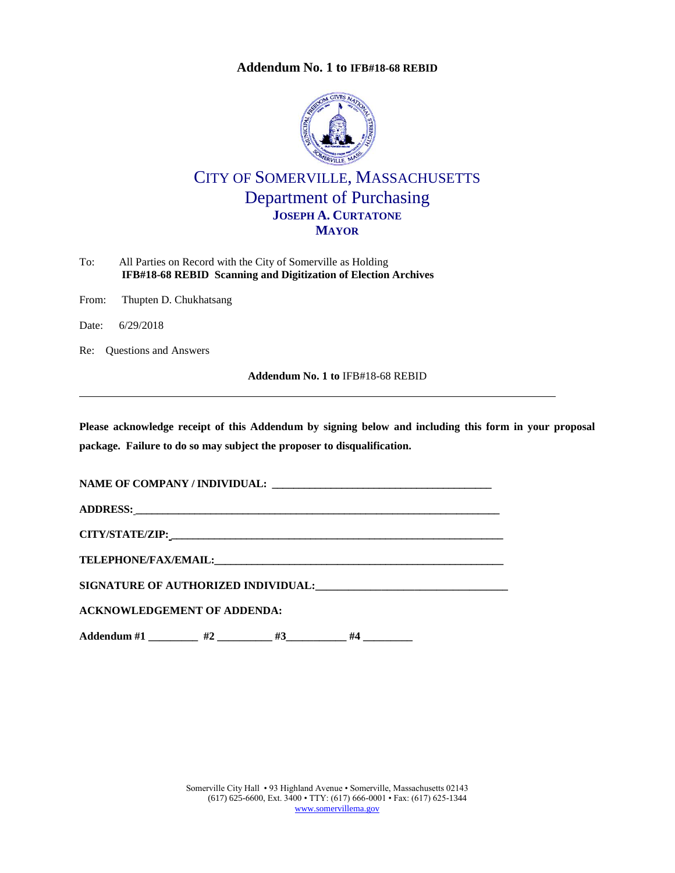## **Addendum No. 1 to [IFB#18-68 REBID](#page-0-0)**



## CITY OF SOMERVILLE, MASSACHUSETTS Department of Purchasing **JOSEPH A. CURTATONE MAYOR**

<span id="page-0-0"></span>

| To: | All Parties on Record with the City of Somerville as Holding   |
|-----|----------------------------------------------------------------|
|     | IFB#18-68 REBID Scanning and Digitization of Election Archives |

From: Thupten D. Chukhatsang

Date: 6/29/2018

Re: Questions and Answers

**Addendum No. 1 to** [IFB#18-68 REBID](#page-0-0)

**Please acknowledge receipt of this Addendum by signing below and including this form in your proposal package. Failure to do so may subject the proposer to disqualification.**

**NAME OF COMPANY / INDIVIDUAL: \_\_\_\_\_\_\_\_\_\_\_\_\_\_\_\_\_\_\_\_\_\_\_\_\_\_\_\_\_\_\_\_\_\_\_\_\_\_\_\_\_**

**ADDRESS: \_\_\_\_\_\_\_\_\_\_\_\_\_\_\_\_\_\_\_\_\_\_\_\_\_\_\_\_\_\_\_\_\_\_\_\_\_\_\_\_\_\_\_\_\_\_\_\_\_\_\_\_\_\_\_\_\_\_\_\_\_\_\_\_\_\_\_\_**

**CITY/STATE/ZIP: \_\_\_\_\_\_\_\_\_\_\_\_\_\_\_\_\_\_\_\_\_\_\_\_\_\_\_\_\_\_\_\_\_\_\_\_\_\_\_\_\_\_\_\_\_\_\_\_\_\_\_\_\_\_\_\_\_\_\_\_\_\_**

**TELEPHONE/FAX/EMAIL:\_\_\_\_\_\_\_\_\_\_\_\_\_\_\_\_\_\_\_\_\_\_\_\_\_\_\_\_\_\_\_\_\_\_\_\_\_\_\_\_\_\_\_\_\_\_\_\_\_\_\_\_\_\_**

**SIGNATURE OF AUTHORIZED INDIVIDUAL:\_\_\_\_\_\_\_\_\_\_\_\_\_\_\_\_\_\_\_\_\_\_\_\_\_\_\_\_\_\_\_\_\_\_\_**

**ACKNOWLEDGEMENT OF ADDENDA:**

**Addendum #1 \_\_\_\_\_\_\_\_\_ #2 \_\_\_\_\_\_\_\_\_\_ #3\_\_\_\_\_\_\_\_\_\_\_ #4 \_\_\_\_\_\_\_\_\_**